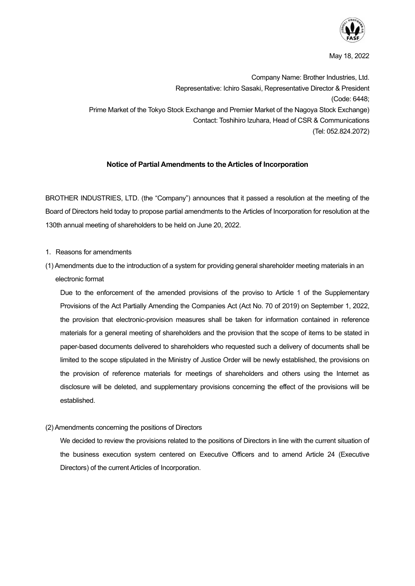

May 18, 2022

Company Name: Brother Industries, Ltd. Representative: Ichiro Sasaki, Representative Director & President (Code: 6448; Prime Market of the Tokyo Stock Exchange and Premier Market of the Nagoya Stock Exchange) Contact: Toshihiro Izuhara, Head of CSR & Communications (Tel: 052.824.2072)

## **Notice of Partial Amendments to the Articles of Incorporation**

BROTHER INDUSTRIES, LTD. (the "Company") announces that it passed a resolution at the meeting of the Board of Directors held today to propose partial amendments to the Articles of Incorporation for resolution at the 130th annual meeting of shareholders to be held on June 20, 2022.

- 1. Reasons for amendments
- (1) Amendments due to the introduction of a system for providing general shareholder meeting materials in an electronic format

Due to the enforcement of the amended provisions of the proviso to Article 1 of the Supplementary Provisions of the Act Partially Amending the Companies Act (Act No. 70 of 2019) on September 1, 2022, the provision that electronic-provision measures shall be taken for information contained in reference materials for a general meeting of shareholders and the provision that the scope of items to be stated in paper-based documents delivered to shareholders who requested such a delivery of documents shall be limited to the scope stipulated in the Ministry of Justice Order will be newly established, the provisions on the provision of reference materials for meetings of shareholders and others using the Internet as disclosure will be deleted, and supplementary provisions concerning the effect of the provisions will be established.

(2) Amendments concerning the positions of Directors

We decided to review the provisions related to the positions of Directors in line with the current situation of the business execution system centered on Executive Officers and to amend Article 24 (Executive Directors) of the current Articles of Incorporation.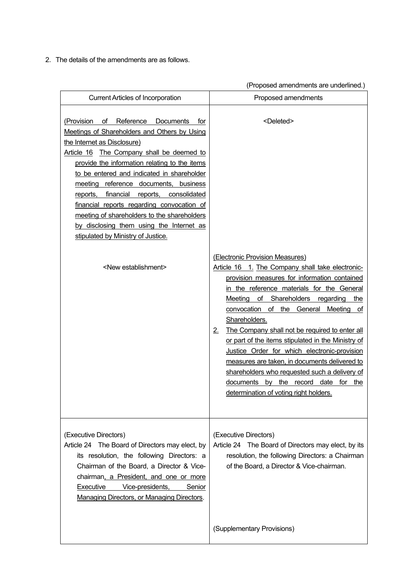2.The details of the amendments are as follows.

|                                                                                                                                                                                                                                                                                                                                                                                                                                                                                                                                                                            | (Proposed amendments are underlined.)                                                                                                                                                                                                                                                                                                                                                |
|----------------------------------------------------------------------------------------------------------------------------------------------------------------------------------------------------------------------------------------------------------------------------------------------------------------------------------------------------------------------------------------------------------------------------------------------------------------------------------------------------------------------------------------------------------------------------|--------------------------------------------------------------------------------------------------------------------------------------------------------------------------------------------------------------------------------------------------------------------------------------------------------------------------------------------------------------------------------------|
| <b>Current Articles of Incorporation</b>                                                                                                                                                                                                                                                                                                                                                                                                                                                                                                                                   | Proposed amendments                                                                                                                                                                                                                                                                                                                                                                  |
| of Reference Documents<br>(Provision<br>for<br>Meetings of Shareholders and Others by Using<br>the Internet as Disclosure)<br>Article 16 The Company shall be deemed to<br>provide the information relating to the items<br>to be entered and indicated in shareholder<br>meeting reference documents, business<br>reports, financial reports, consolidated<br>financial reports regarding convocation of<br>meeting of shareholders to the shareholders<br>by disclosing them using the Internet as<br>stipulated by Ministry of Justice.<br><new establishment=""></new> | <deleted><br/>(Electronic Provision Measures)<br/>Article 16 1. The Company shall take electronic-<br/>provision measures for information contained<br/>in the reference materials for the General<br/>Meeting of Shareholders regarding the<br/>convocation of the General<br/>Meeting<br/>ot<br/>Shareholders.<br/>The Company shall not be required to enter all<br/>2.</deleted> |
|                                                                                                                                                                                                                                                                                                                                                                                                                                                                                                                                                                            | or part of the items stipulated in the Ministry of<br>Justice Order for which electronic-provision<br>measures are taken, in documents delivered to<br>shareholders who requested such a delivery of<br>documents by the record date for the<br>determination of voting right holders.                                                                                               |
| (Executive Directors)<br>Article 24 The Board of Directors may elect, by<br>its resolution, the following Directors: a<br>Chairman of the Board, a Director & Vice-<br>chairman, a President, and one or more<br>Executive<br>Vice-presidents,<br>Senior<br><b>Managing Directors, or Managing Directors.</b>                                                                                                                                                                                                                                                              | (Executive Directors)<br>Article 24 The Board of Directors may elect, by its<br>resolution, the following Directors: a Chairman<br>of the Board, a Director & Vice-chairman.                                                                                                                                                                                                         |
|                                                                                                                                                                                                                                                                                                                                                                                                                                                                                                                                                                            | (Supplementary Provisions)                                                                                                                                                                                                                                                                                                                                                           |